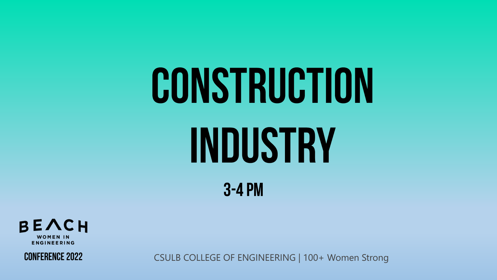



**CONFERENCE 2022**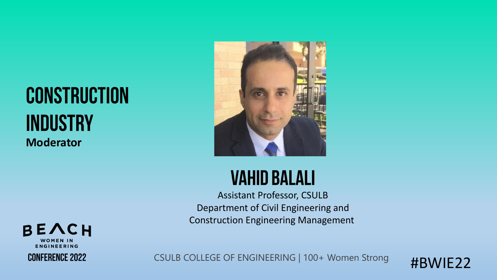#### **CONSTRUCTION INDUSTRY Moderator**



#### **VAHID BALALI**

Assistant Professor, CSULB Department of Civil Engineering and Construction Engineering Management



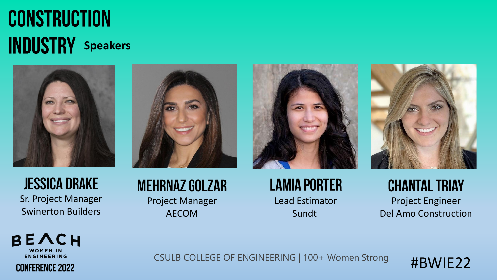#### **CONSTRUCTION INDUSTRY** Speakers







Sr. Project Manager Swinerton Builders

#### **MEHRNAZ GOLZAR** Project Manager AECOM

#### **LAMIA PORTER** Lead Estimator Sundt



**CHANTAL TRIAY** Project Engineer Del Amo Construction



CSULB COLLEGE OF ENGINEERING | 100+ Women Strong

#BWIE22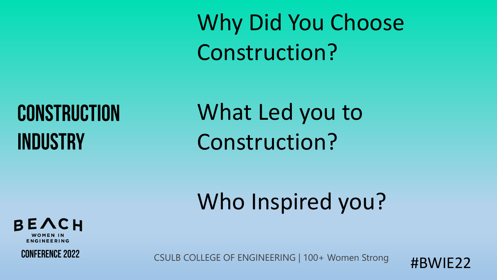Construction?

### **CONSTRUCTION INDUSTRY**

What Led you to Construction?

Why Did You Choose

### Who Inspired you?





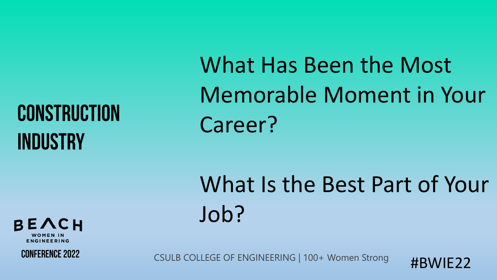What Has Been the Most Memorable Moment in Your Career?

What Is the Best Part of Your Job?

**FNGINFFRING CONFERENCE 2022** 

BEACH

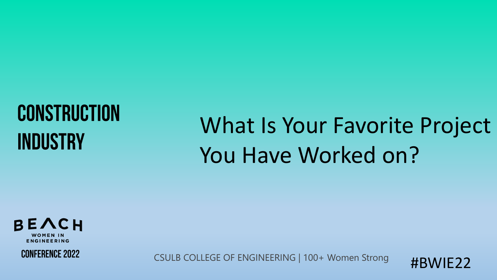### What Is Your Favorite Project You Have Worked on?





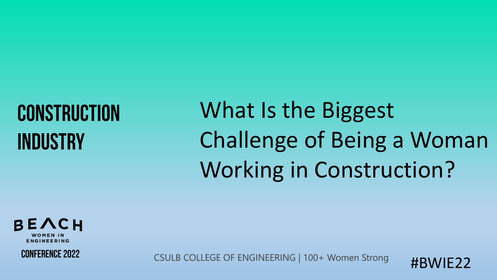What Is the Biggest Challenge of Being a Woman Working in Construction?



**CONFERENCE 2022** 

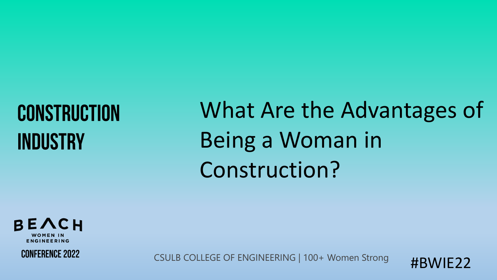What Are the Advantages of Being a Woman in Construction?





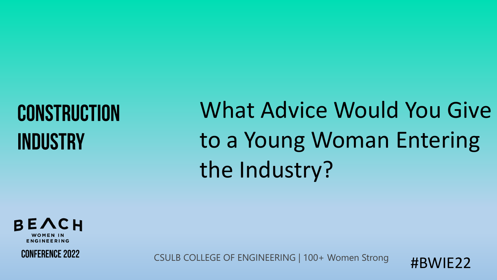What Advice Would You Give to a Young Woman Entering the Industry?





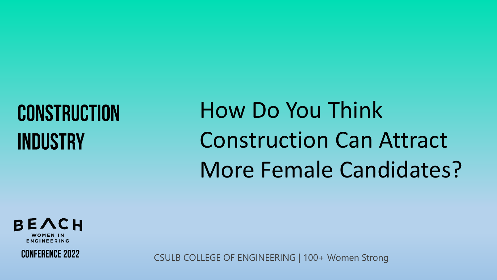How Do You Think Construction Can Attract More Female Candidates?



**CONFERENCE 2022**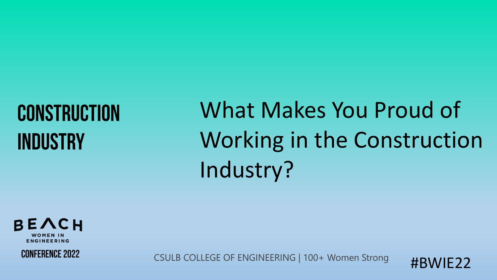## What Makes You Proud of Working in the Construction Industry?



**CONFERENCE 2022** 

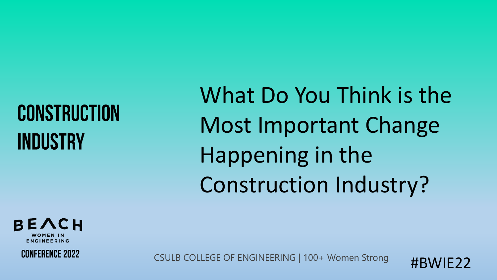What Do You Think is the Most Important Change Happening in the Construction Industry?

BEACH **ENGINEERING** 

**CONFERENCE 2022**